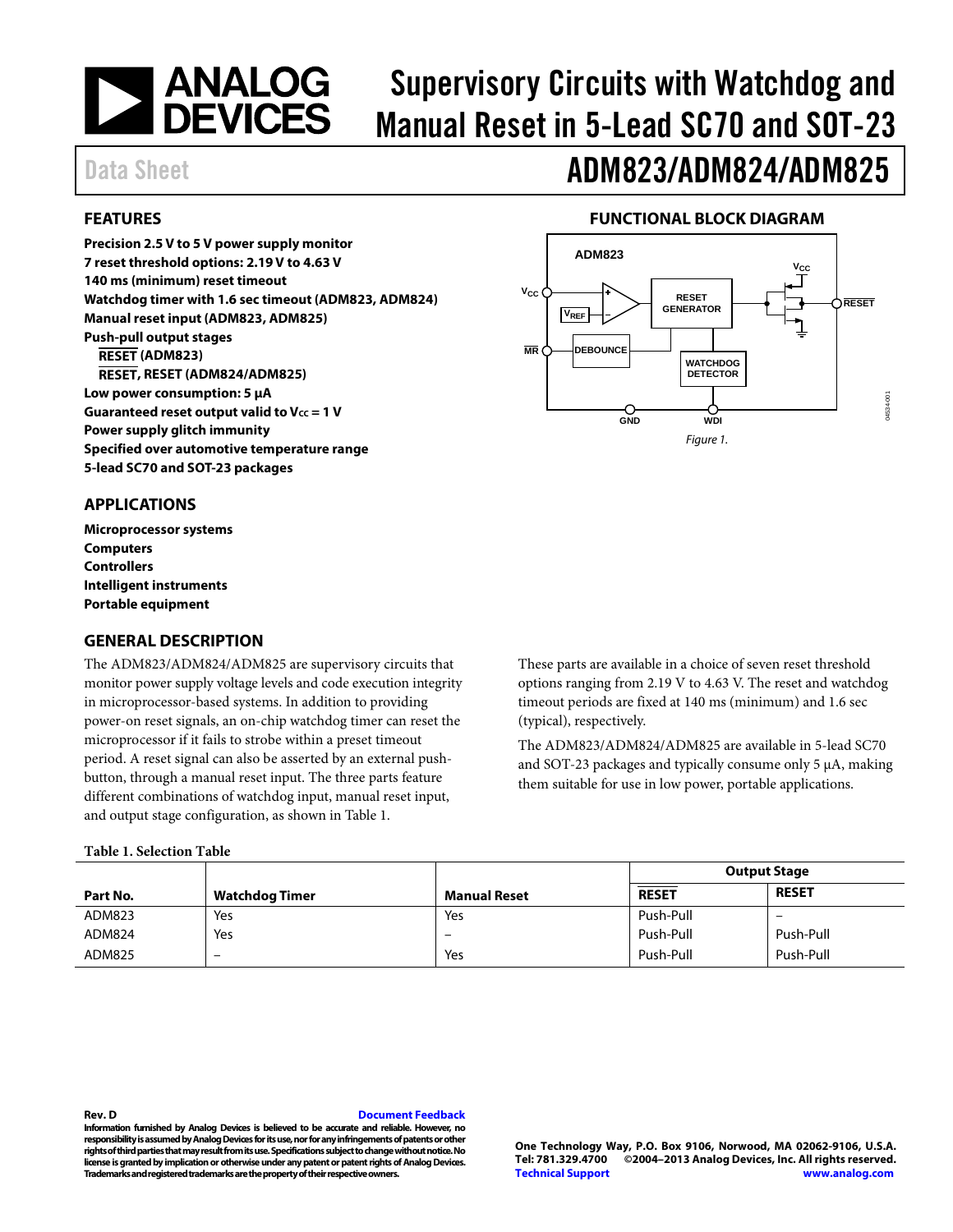# **NEWALOG**<br>DEVICES

# Supervisory Circuits with Watchdog and Manual Reset in 5-Lead SC70 and SOT-23

## Data Sheet **ADM823/ADM824/ADM825**

#### <span id="page-0-1"></span>**FEATURES**

**Precision 2.5 V to 5 V power supply monitor 7 reset threshold options: 2.19V to 4.63 V 140 ms (minimum) reset timeout Watchdog timer with 1.6 sec timeout (ADM823, ADM824) Manual reset input (ADM823, ADM825) Push-pull output stages RESET (ADM823) RESET, RESET (ADM824/ADM825) Low power consumption: 5 µA** Guaranteed reset output valid to V<sub>cc</sub> = 1 V **Power supply glitch immunity Specified over automotive temperature range 5-lead SC70 and SOT-23 packages**

### **FUNCTIONAL BLOCK DIAGRAM**

<span id="page-0-3"></span>

#### <span id="page-0-2"></span>**APPLICATIONS**

**Microprocessor systems Computers Controllers Intelligent instruments Portable equipment**

#### <span id="page-0-4"></span>**GENERAL DESCRIPTION**

The ADM823/ADM824/ADM825 are supervisory circuits that monitor power supply voltage levels and code execution integrity in microprocessor-based systems. In addition to providing power-on reset signals, an on-chip watchdog timer can reset the microprocessor if it fails to strobe within a preset timeout period. A reset signal can also be asserted by an external pushbutton, through a manual reset input. The three parts feature different combinations of watchdog input, manual reset input, and output stage configuration, as shown i[n Table 1.](#page-0-0)

#### <span id="page-0-0"></span>**Table 1. Selection Table**

These parts are available in a choice of seven reset threshold options ranging from 2.19 V to 4.63 V. The reset and watchdog timeout periods are fixed at 140 ms (minimum) and 1.6 sec (typical), respectively.

The ADM823/ADM824/ADM825 are available in 5-lead SC70 and SOT-23 packages and typically consume only 5 µA, making them suitable for use in low power, portable applications.

|          |                |                     | <b>Output Stage</b> |              |  |
|----------|----------------|---------------------|---------------------|--------------|--|
| Part No. | Watchdog Timer | <b>Manual Reset</b> | <b>RESET</b>        | <b>RESET</b> |  |
| ADM823   | Yes            | Yes                 | Push-Pull           | -            |  |
| ADM824   | Yes            | -                   | Push-Pull           | Push-Pull    |  |
| ADM825   | -              | Yes                 | Push-Pull           | Push-Pull    |  |

#### **Rev. D [Document Feedback](https://form.analog.com/Form_Pages/feedback/documentfeedback.aspx?doc=ADM823_824_825.pdf&product=ADM823/ADM824/ADM825&rev=D)**

**Information furnished by Analog Devices is believed to be accurate and reliable. However, no responsibility is assumed by Analog Devices for its use, nor for any infringements of patents or other rights of third parties that may result from its use. Specifications subject to change without notice. No license is granted by implication or otherwise under any patent or patent rights of Analog Devices. Trademarks and registered trademarks are the property of their respective owners.**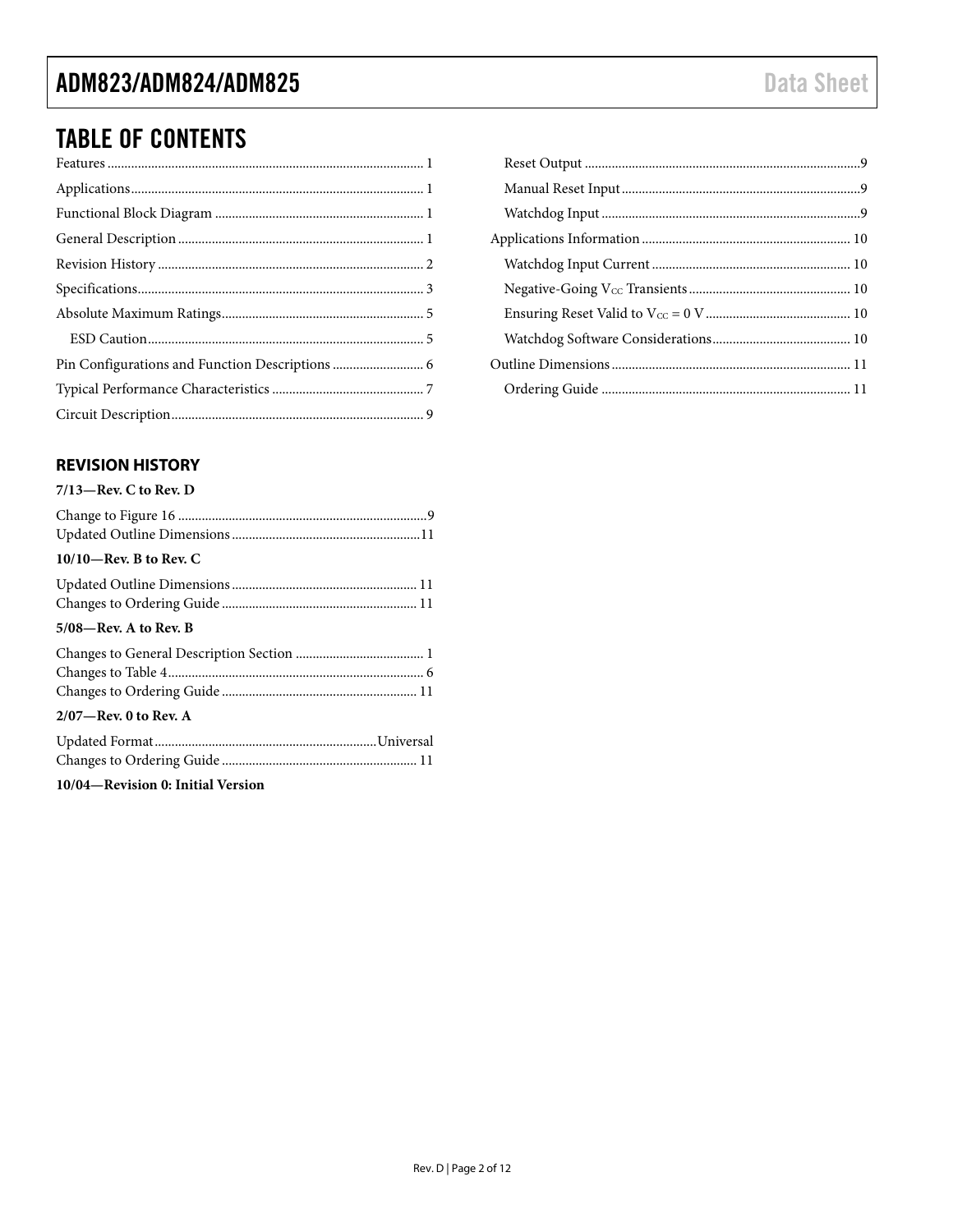### ADM823/ADM824/ADM825

### **TABLE OF CONTENTS**

### <span id="page-1-0"></span>**REVISION HISTORY**

#### $7/13$ -Rev. C to Rev. D

| $10/10$ —Rev. B to Rev. C |  |
|---------------------------|--|
|                           |  |
|                           |  |
| $5/08$ —Rev. A to Rev. B  |  |
|                           |  |
|                           |  |
|                           |  |
| $2/07$ —Rev. 0 to Rev. A  |  |
|                           |  |
|                           |  |

10/04-Revision 0: Initial Version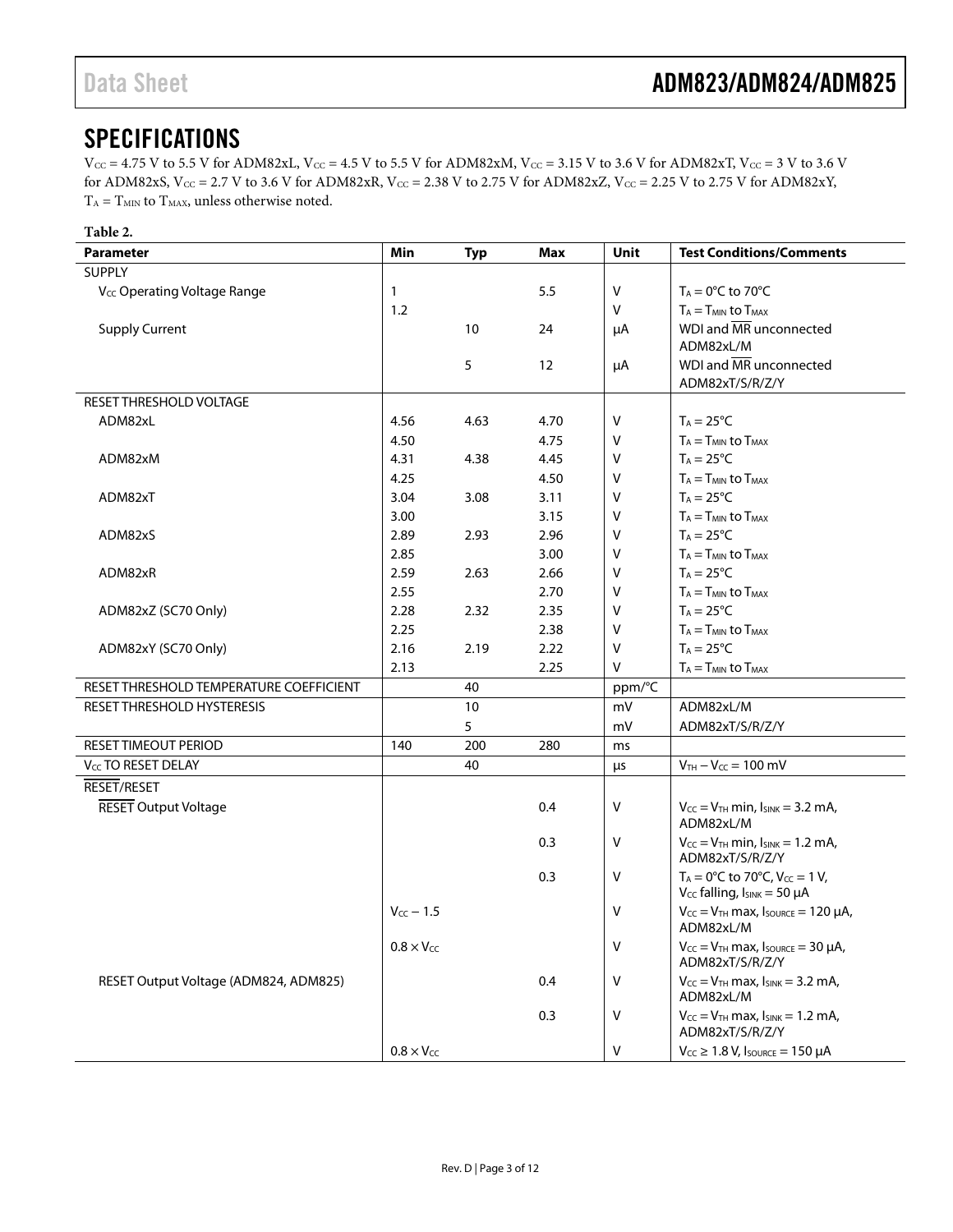### <span id="page-2-0"></span>SPECIFICATIONS

 $V_{CC}$  = 4.75 V to 5.5 V for ADM82xL,  $V_{CC}$  = 4.5 V to 5.5 V for ADM82xM,  $V_{CC}$  = 3.15 V to 3.6 V for ADM82xT,  $V_{CC}$  = 3 V to 3.6 V for ADM82xS,  $V_{CC} = 2.7$  V to 3.6 V for ADM82xR,  $V_{CC} = 2.38$  V to 2.75 V for ADM82xZ,  $V_{CC} = 2.25$  V to 2.75 V for ADM82xY,  $T_A = T_{MIN}$  to  $T_{MAX}$ , unless otherwise noted.

| <b>Parameter</b>                        | Min                 | <b>Typ</b> | Max  | Unit   | <b>Test Conditions/Comments</b>                                                         |
|-----------------------------------------|---------------------|------------|------|--------|-----------------------------------------------------------------------------------------|
| <b>SUPPLY</b>                           |                     |            |      |        |                                                                                         |
| V <sub>cc</sub> Operating Voltage Range | 1                   |            | 5.5  | $\vee$ | $T_A = 0$ °C to 70°C                                                                    |
|                                         | 1.2                 |            |      | V      | $T_A = T_{MIN}$ to $T_{MAX}$                                                            |
| <b>Supply Current</b>                   |                     | 10         | 24   | μA     | WDI and MR unconnected                                                                  |
|                                         |                     |            |      |        | ADM82xL/M                                                                               |
|                                         |                     | 5          | 12   | μA     | WDI and MR unconnected                                                                  |
|                                         |                     |            |      |        | ADM82xT/S/R/Z/Y                                                                         |
| RESET THRESHOLD VOLTAGE                 |                     |            |      |        |                                                                                         |
| ADM82xL                                 | 4.56                | 4.63       | 4.70 | V      | $T_A = 25^{\circ}C$                                                                     |
|                                         | 4.50                |            | 4.75 | V      | $T_A = T_{MIN}$ to $T_{MAX}$                                                            |
| ADM82xM                                 | 4.31                | 4.38       | 4.45 | V      | $T_A = 25^{\circ}C$                                                                     |
|                                         | 4.25                |            | 4.50 | $\vee$ | $T_A = T_{MIN}$ to $T_{MAX}$                                                            |
| ADM82xT                                 | 3.04                | 3.08       | 3.11 | $\vee$ | $T_A = 25^{\circ}C$                                                                     |
|                                         | 3.00                |            | 3.15 | $\vee$ | $T_A = T_{MIN}$ to $T_{MAX}$                                                            |
| ADM82xS                                 | 2.89                | 2.93       | 2.96 | V      | $T_A = 25$ °C                                                                           |
|                                         | 2.85                |            | 3.00 | V      | $T_A = T_{MIN}$ to $T_{MAX}$                                                            |
| ADM82xR                                 | 2.59                | 2.63       | 2.66 | V      | $T_A = 25$ °C                                                                           |
|                                         | 2.55                |            | 2.70 | V      | $T_A = T_{MIN}$ to $T_{MAX}$                                                            |
| ADM82xZ (SC70 Only)                     | 2.28                | 2.32       | 2.35 | V      | $T_A = 25^{\circ}C$                                                                     |
|                                         | 2.25                |            | 2.38 | V      | $T_A = T_{MIN}$ to $T_{MAX}$                                                            |
| ADM82xY (SC70 Only)                     | 2.16                | 2.19       | 2.22 | V      | $T_A = 25$ °C                                                                           |
|                                         | 2.13                |            | 2.25 | $\vee$ | $T_A = T_{MIN}$ to $T_{MAX}$                                                            |
| RESET THRESHOLD TEMPERATURE COEFFICIENT |                     | 40         |      | ppm/°C |                                                                                         |
| RESET THRESHOLD HYSTERESIS              |                     | $10\,$     |      | mV     | ADM82xL/M                                                                               |
|                                         |                     | 5          |      | mV     | ADM82xT/S/R/Z/Y                                                                         |
| RESET TIMEOUT PERIOD                    | 140                 | 200        | 280  | ms     |                                                                                         |
| V <sub>CC</sub> TO RESET DELAY          |                     | 40         |      | μs     | $V_{TH} - V_{CC} = 100$ mV                                                              |
| RESET/RESET                             |                     |            |      |        |                                                                                         |
| <b>RESET Output Voltage</b>             |                     |            | 0.4  | V      | $V_{CC} = V_{TH}$ min, $I_{SINK} = 3.2$ mA,<br>ADM82xL/M                                |
|                                         |                     |            | 0.3  | V      | $V_{CC} = V_{TH}$ min, $I_{SINK} = 1.2$ mA,<br>ADM82xT/S/R/Z/Y                          |
|                                         |                     |            | 0.3  | V      | $T_A = 0$ °C to 70°C, V <sub>cc</sub> = 1 V,<br>$V_{CC}$ falling, $I_{SINK} = 50 \mu A$ |
|                                         | $V_{CC}$ - 1.5      |            |      | $\vee$ | $V_{CC} = V_{TH}$ max, $I_{SOWRCE} = 120 \mu A$ ,<br>ADM82xL/M                          |
|                                         | $0.8 \times V_{CC}$ |            |      | V      | $V_{CC} = V_{TH}$ max, Isource = 30 $\mu$ A,<br>ADM82xT/S/R/Z/Y                         |
| RESET Output Voltage (ADM824, ADM825)   |                     |            | 0.4  | V      | $V_{CC} = V_{TH}$ max, $I_{SINK} = 3.2$ mA,<br>ADM82xL/M                                |
|                                         |                     |            | 0.3  | V      | $V_{CC} = V_{TH}$ max, $I_{SINK} = 1.2$ mA,<br>ADM82xT/S/R/Z/Y                          |
|                                         | $0.8 \times V_{CC}$ |            |      | V      | $V_{CC} \geq 1.8$ V, Isource = 150 µA                                                   |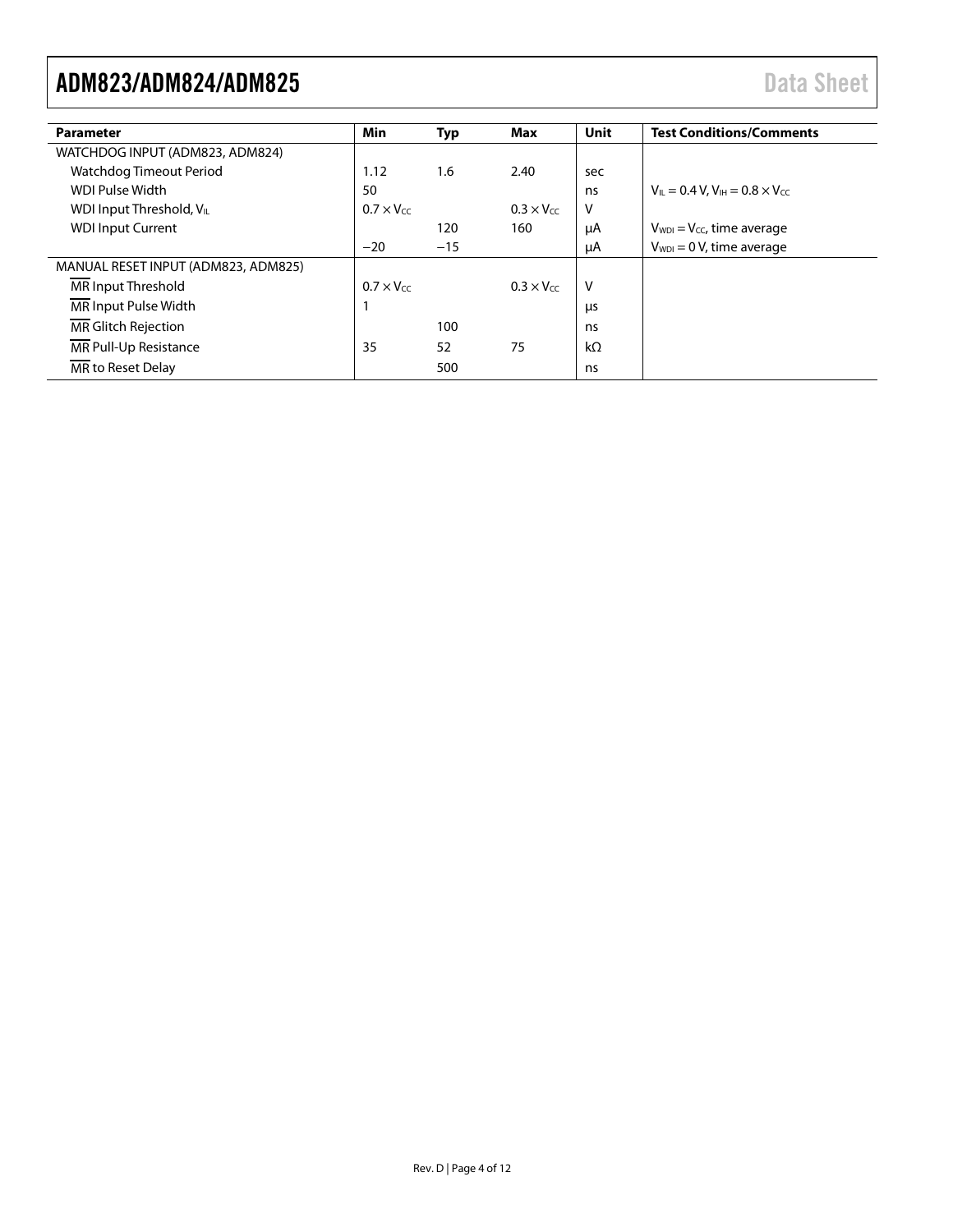| <b>Parameter</b>                     | Min                 | <b>Typ</b> | Max                 | Unit      | <b>Test Conditions/Comments</b>                                      |
|--------------------------------------|---------------------|------------|---------------------|-----------|----------------------------------------------------------------------|
| WATCHDOG INPUT (ADM823, ADM824)      |                     |            |                     |           |                                                                      |
| Watchdog Timeout Period              | 1.12                | 1.6        | 2.40                | sec       |                                                                      |
| WDI Pulse Width                      | 50                  |            |                     | ns        | $V_{\text{II}} = 0.4 V$ , $V_{\text{IH}} = 0.8 \times V_{\text{CC}}$ |
| WDI Input Threshold, V <sub>IL</sub> | $0.7 \times V_{CC}$ |            | $0.3 \times V_{CC}$ | V         |                                                                      |
| <b>WDI Input Current</b>             |                     | 120        | 160                 | μA        | $V_{WDI} = V_{CC}$ , time average                                    |
|                                      | $-20$               | $-15$      |                     | μA        | $V_{WDI} = 0 V$ , time average                                       |
| MANUAL RESET INPUT (ADM823, ADM825)  |                     |            |                     |           |                                                                      |
| MR Input Threshold                   | $0.7 \times V_{cc}$ |            | $0.3 \times V_{cc}$ | V         |                                                                      |
| MR Input Pulse Width                 |                     |            |                     | μs        |                                                                      |
| MR Glitch Rejection                  |                     | 100        |                     | ns        |                                                                      |
| MR Pull-Up Resistance                | 35                  | 52         | 75                  | $k\Omega$ |                                                                      |
| MR to Reset Delay                    |                     | 500        |                     | ns        |                                                                      |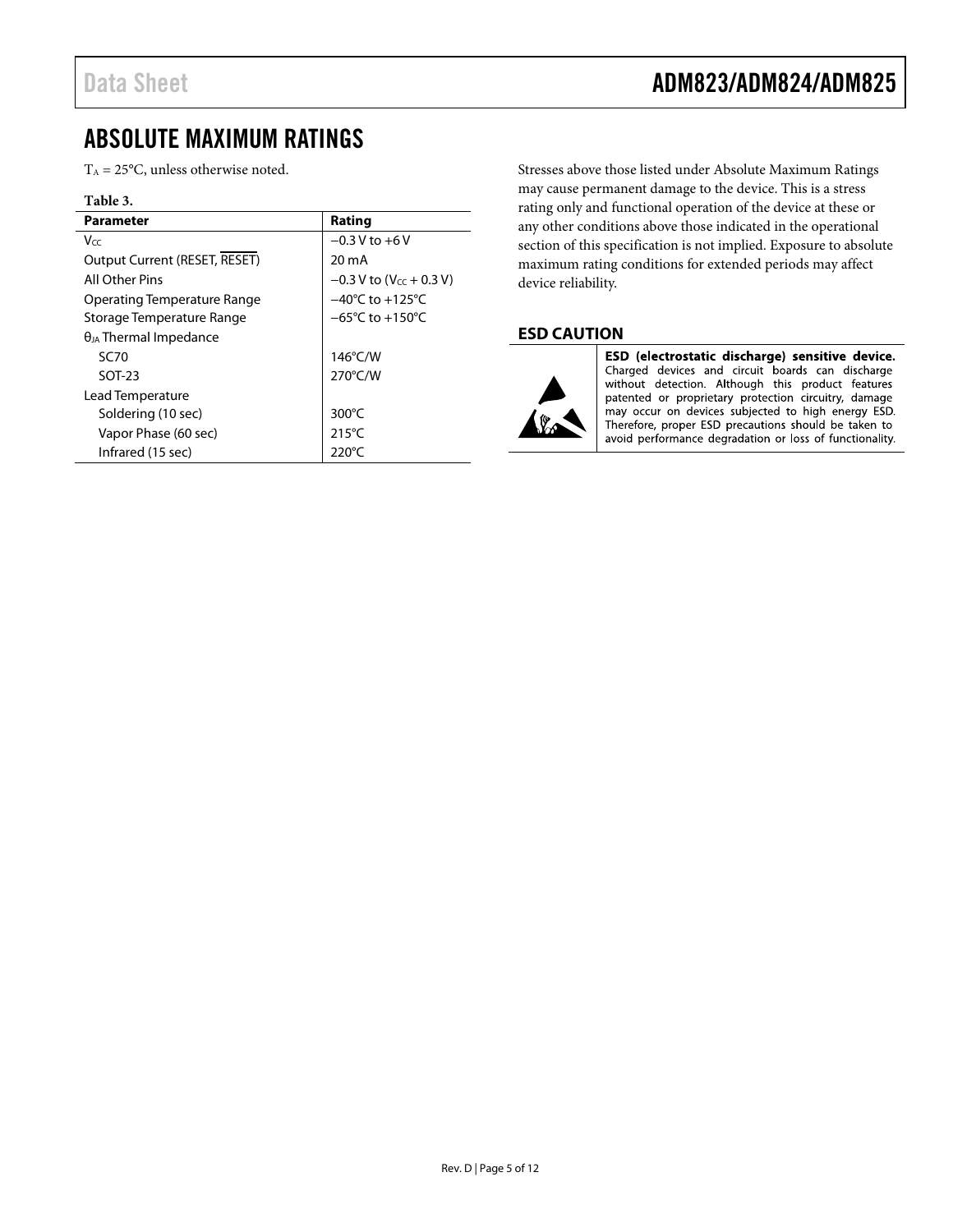### Data Sheet **ADM823/ADM824/ADM825**

### <span id="page-4-0"></span>ABSOLUTE MAXIMUM RATINGS

 $T_A = 25$ °C, unless otherwise noted.

#### **Table 3.**

| <b>Parameter</b>                | Rating                                |  |  |
|---------------------------------|---------------------------------------|--|--|
| Vcc                             | $-0.3$ V to $+6$ V                    |  |  |
| Output Current (RESET, RESET)   | 20 mA                                 |  |  |
| All Other Pins                  | $-0.3 V$ to (V <sub>cc</sub> + 0.3 V) |  |  |
| Operating Temperature Range     | $-40^{\circ}$ C to $+125^{\circ}$ C   |  |  |
| Storage Temperature Range       | $-65^{\circ}$ C to $+150^{\circ}$ C   |  |  |
| $\theta_{JA}$ Thermal Impedance |                                       |  |  |
| <b>SC70</b>                     | 146°C/W                               |  |  |
| $SOT-23$                        | 270°C/W                               |  |  |
| Lead Temperature                |                                       |  |  |
| Soldering (10 sec)              | 300 $\degree$ C                       |  |  |
| Vapor Phase (60 sec)            | $215^{\circ}$ C                       |  |  |
| Infrared (15 sec)               | 220°C                                 |  |  |

Stresses above those listed under Absolute Maximum Ratings may cause permanent damage to the device. This is a stress rating only and functional operation of the device at these or any other conditions above those indicated in the operational section of this specification is not implied. Exposure to absolute maximum rating conditions for extended periods may affect device reliability.

#### <span id="page-4-1"></span>**ESD CAUTION**



ESD (electrostatic discharge) sensitive device. Charged devices and circuit boards can discharge<br>without detection. Although this product features patented or proprietary protection circuitry, damage may occur on devices subjected to high energy ESD.<br>Therefore, proper ESD precautions should be taken to avoid performance degradation or loss of functionality.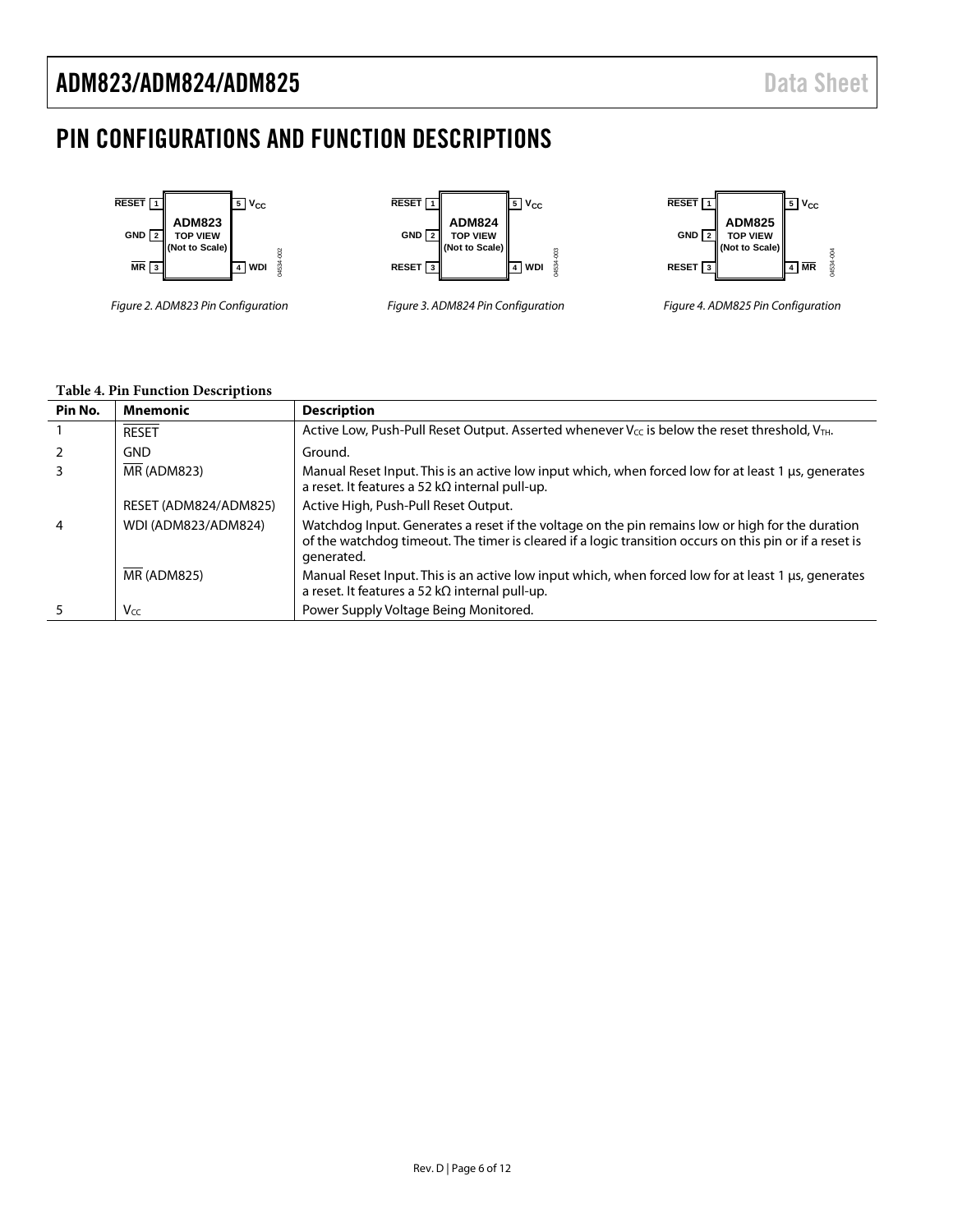### <span id="page-5-0"></span>PIN CONFIGURATIONS AND FUNCTION DESCRIPTIONS



#### **Table 4. Pin Function Descriptions**

| Pin No. | <b>Mnemonic</b>       | <b>Description</b>                                                                                                                                                                                                        |
|---------|-----------------------|---------------------------------------------------------------------------------------------------------------------------------------------------------------------------------------------------------------------------|
|         | <b>RESET</b>          | Active Low, Push-Pull Reset Output. Asserted whenever V <sub>CC</sub> is below the reset threshold, VTH.                                                                                                                  |
|         | <b>GND</b>            | Ground.                                                                                                                                                                                                                   |
|         | <b>MR (ADM823)</b>    | Manual Reset Input. This is an active low input which, when forced low for at least 1 µs, generates<br>a reset. It features a 52 k $\Omega$ internal pull-up.                                                             |
|         | RESET (ADM824/ADM825) | Active High, Push-Pull Reset Output.                                                                                                                                                                                      |
| 4       | WDI (ADM823/ADM824)   | Watchdog Input. Generates a reset if the voltage on the pin remains low or high for the duration<br>of the watchdog timeout. The timer is cleared if a logic transition occurs on this pin or if a reset is<br>generated. |
|         | <b>MR (ADM825)</b>    | Manual Reset Input. This is an active low input which, when forced low for at least 1 µs, generates<br>a reset. It features a 52 k $\Omega$ internal pull-up.                                                             |
|         | Vcc                   | Power Supply Voltage Being Monitored.                                                                                                                                                                                     |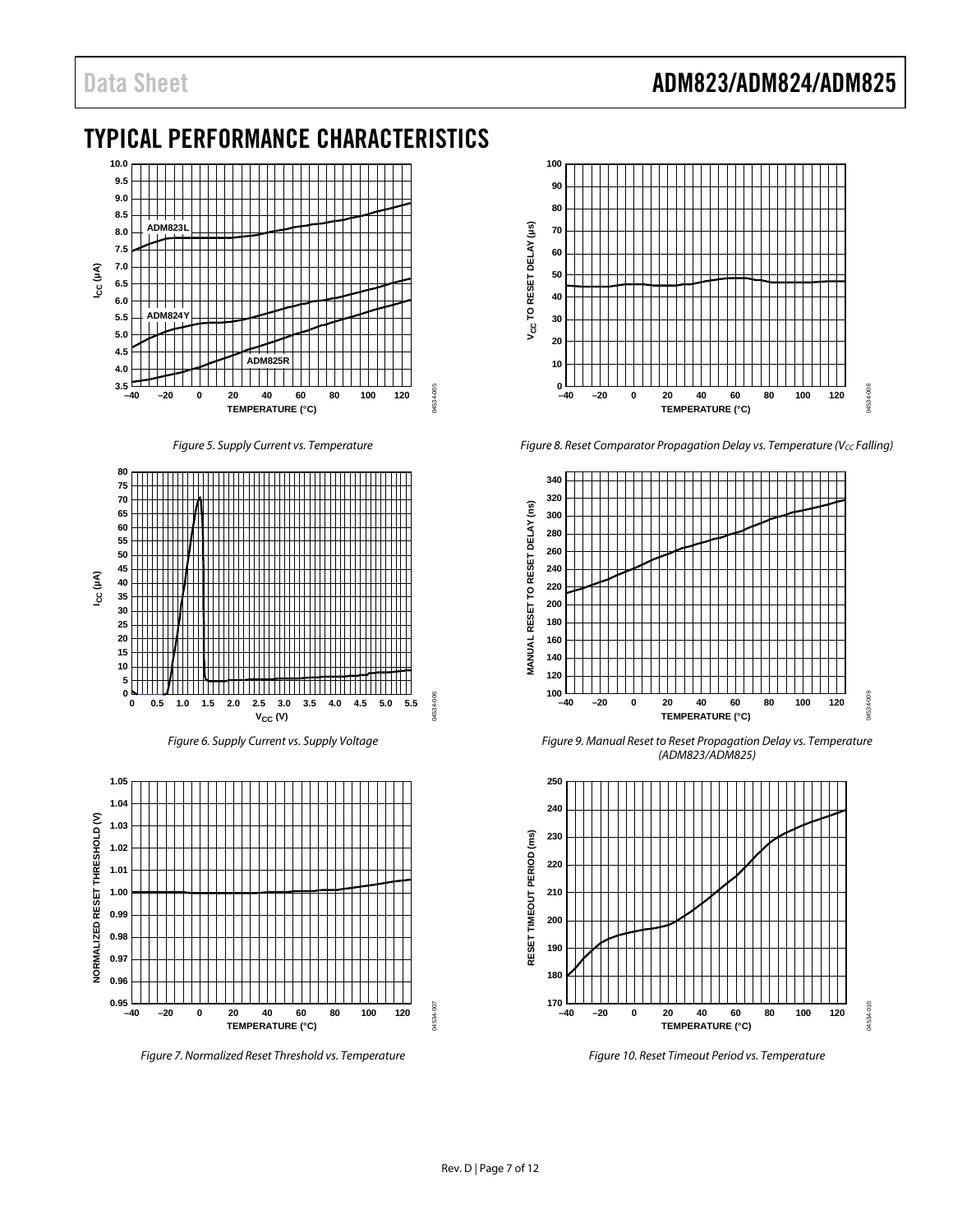### Data Sheet **ADM823/ADM824/ADM825**

### <span id="page-6-0"></span>TYPICAL PERFORMANCE CHARACTERISTICS



*Figure 5. Supply Current vs. Temperature*



*Figure 6. Supply Current vs. Supply Voltage*



*Figure 7. Normalized Reset Threshold vs. Temperature*



*Figure 8. Reset Comparator Propagation Delay vs. Temperature (Vcc Falling)* 



*Figure 9. Manual Reset to Reset Propagation Delay vs. Temperature (ADM823/ADM825)*



*Figure 10. Reset Timeout Period vs. Temperature*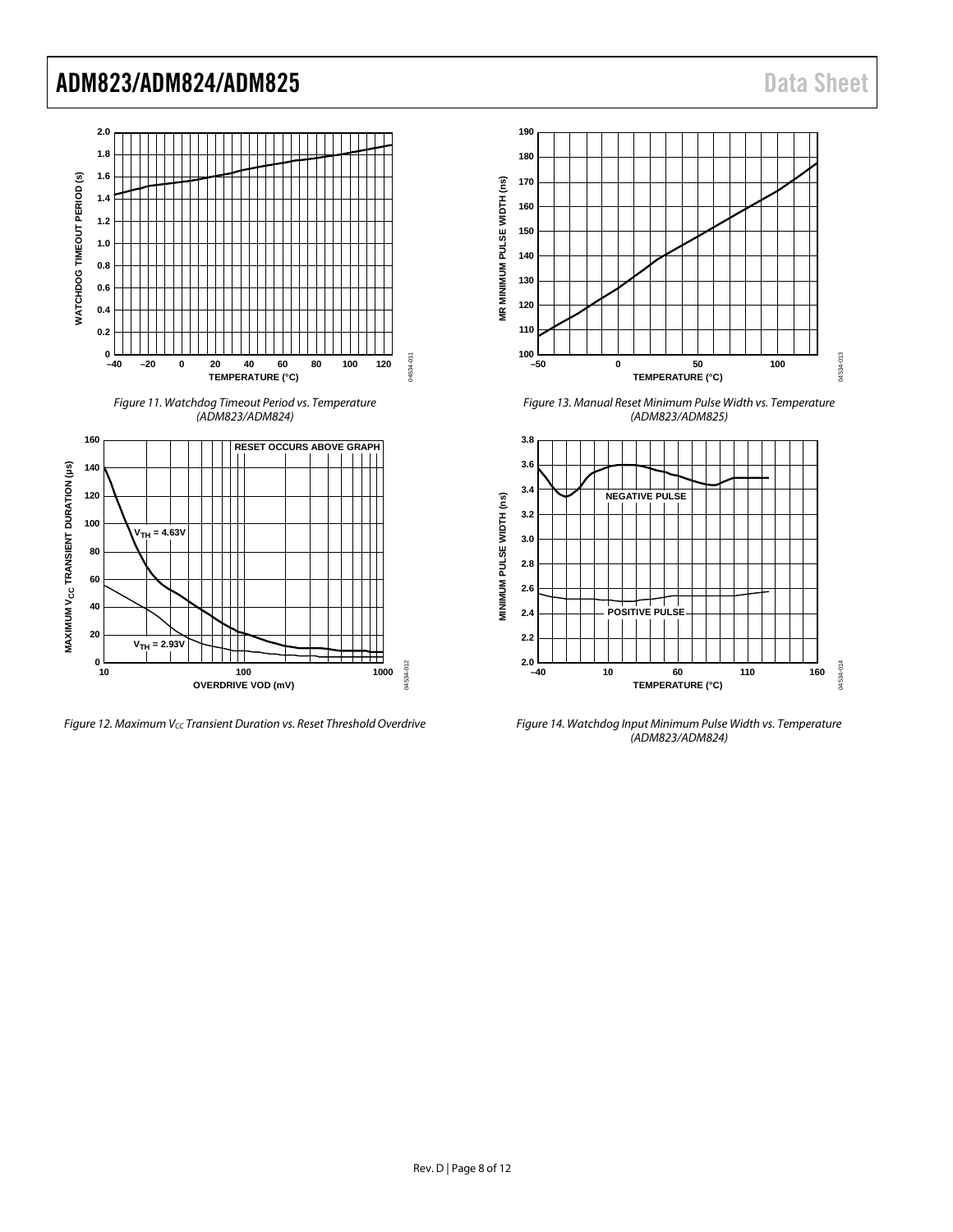

<span id="page-7-0"></span>**Figure 12. Maximum Vcc Transient Duration vs. Reset Threshold Overdrive** 



*Figure 13. Manual Reset Minimum Pulse Width vs. Temperature (ADM823/ADM825)*



*Figure 14. Watchdog Input Minimum Pulse Width vs. Temperature (ADM823/ADM824)*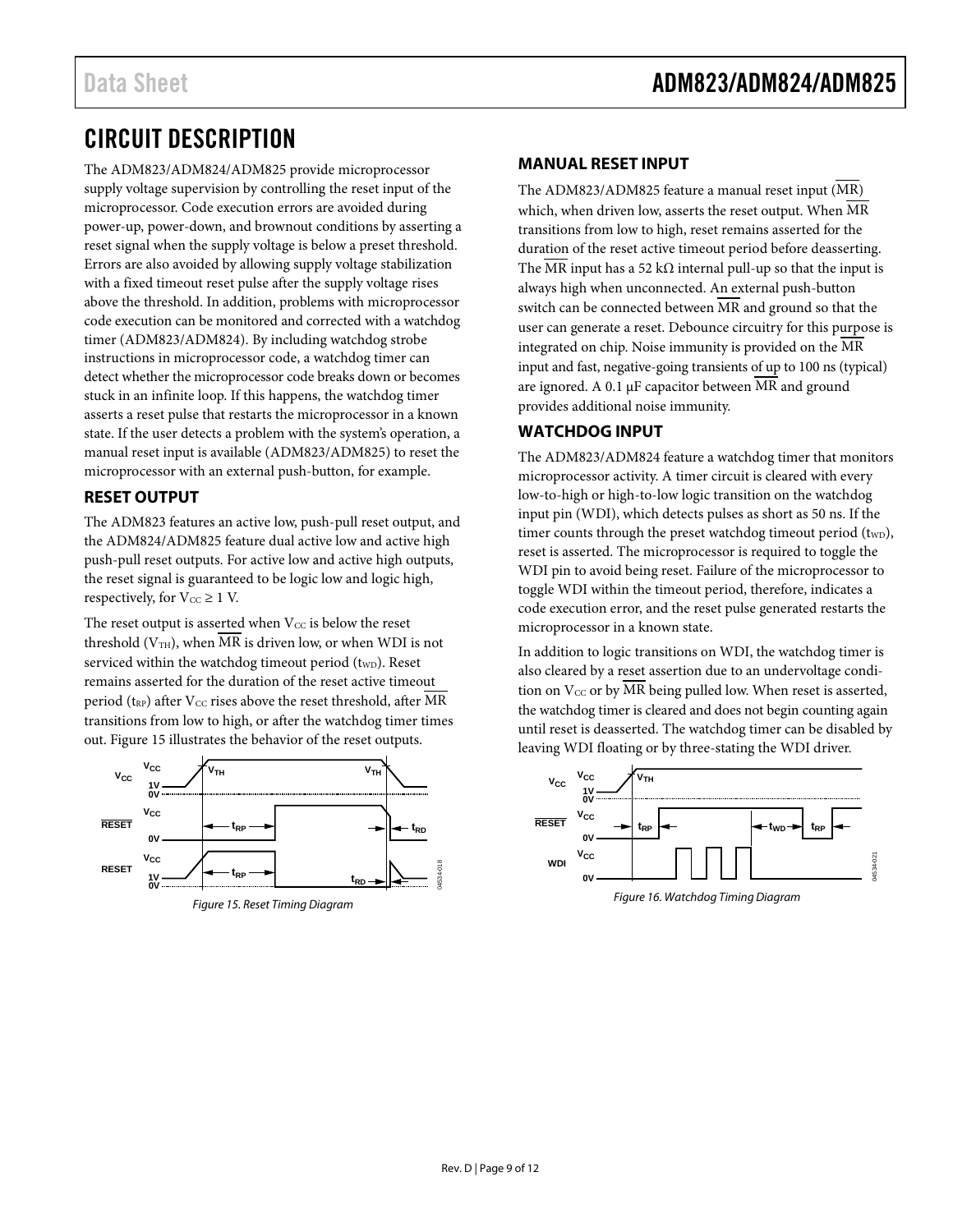### <span id="page-8-0"></span>CIRCUIT DESCRIPTION

The ADM823/ADM824/ADM825 provide microprocessor supply voltage supervision by controlling the reset input of the microprocessor. Code execution errors are avoided during power-up, power-down, and brownout conditions by asserting a reset signal when the supply voltage is below a preset threshold. Errors are also avoided by allowing supply voltage stabilization with a fixed timeout reset pulse after the supply voltage rises above the threshold. In addition, problems with microprocessor code execution can be monitored and corrected with a watchdog timer (ADM823/ADM824). By including watchdog strobe instructions in microprocessor code, a watchdog timer can detect whether the microprocessor code breaks down or becomes stuck in an infinite loop. If this happens, the watchdog timer asserts a reset pulse that restarts the microprocessor in a known state. If the user detects a problem with the system's operation, a manual reset input is available (ADM823/ADM825) to reset the microprocessor with an external push-button, for example.

### <span id="page-8-1"></span>**RESET OUTPUT**

The ADM823 features an active low, push-pull reset output, and the ADM824/ADM825 feature dual active low and active high push-pull reset outputs. For active low and active high outputs, the reset signal is guaranteed to be logic low and logic high, respectively, for  $V_{CC} \geq 1$  V.

The reset output is asserted when  $V_{CC}$  is below the reset threshold ( $V<sub>TH</sub>$ ), when MR is driven low, or when WDI is not serviced within the watchdog timeout period (twp). Reset remains asserted for the duration of the reset active timeout period ( $t_{RP}$ ) after V<sub>CC</sub> rises above the reset threshold, after MR transitions from low to high, or after the watchdog timer times out. [Figure 15](#page-8-4) illustrates the behavior of the reset outputs.



<span id="page-8-4"></span>

#### <span id="page-8-2"></span>**MANUAL RESET INPUT**

The ADM823/ADM825 feature a manual reset input (MR) which, when driven low, asserts the reset output. When MR transitions from low to high, reset remains asserted for the duration of the reset active timeout period before deasserting. The MR input has a 52 k $\Omega$  internal pull-up so that the input is always high when unconnected. An external push-button switch can be connected between MR and ground so that the user can generate a reset. Debounce circuitry for this purpose is integrated on chip. Noise immunity is provided on the MR input and fast, negative-going transients of up to 100 ns (typical) are ignored. A 0.1 µF capacitor between MR and ground provides additional noise immunity.

#### <span id="page-8-3"></span>**WATCHDOG INPUT**

The ADM823/ADM824 feature a watchdog timer that monitors microprocessor activity. A timer circuit is cleared with every low-to-high or high-to-low logic transition on the watchdog input pin (WDI), which detects pulses as short as 50 ns. If the timer counts through the preset watchdog timeout period  $(t_{WD})$ , reset is asserted. The microprocessor is required to toggle the WDI pin to avoid being reset. Failure of the microprocessor to toggle WDI within the timeout period, therefore, indicates a code execution error, and the reset pulse generated restarts the microprocessor in a known state.

In addition to logic transitions on WDI, the watchdog timer is also cleared by a reset assertion due to an undervoltage condition on  $V_{CC}$  or by MR being pulled low. When reset is asserted, the watchdog timer is cleared and does not begin counting again until reset is deasserted. The watchdog timer can be disabled by leaving WDI floating or by three-stating the WDI driver.

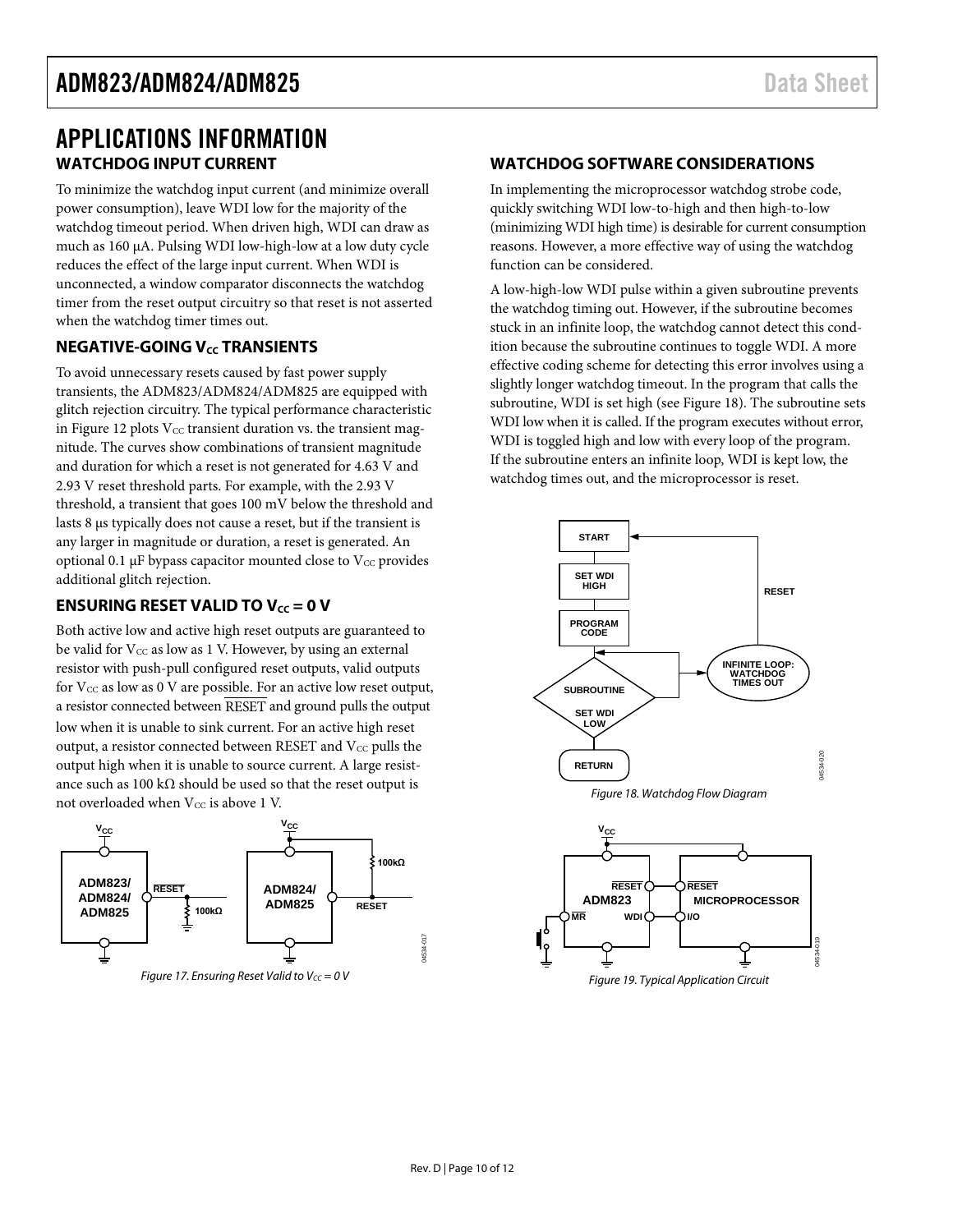### <span id="page-9-0"></span>APPLICATIONS INFORMATION **WATCHDOG INPUT CURRENT**

<span id="page-9-1"></span>To minimize the watchdog input current (and minimize overall power consumption), leave WDI low for the majority of the watchdog timeout period. When driven high, WDI can draw as much as 160 µA. Pulsing WDI low-high-low at a low duty cycle reduces the effect of the large input current. When WDI is unconnected, a window comparator disconnects the watchdog timer from the reset output circuitry so that reset is not asserted when the watchdog timer times out.

#### <span id="page-9-2"></span>**NEGATIVE-GOING V<sub>cc</sub> TRANSIENTS**

To avoid unnecessary resets caused by fast power supply transients, the ADM823/ADM824/ADM825 are equipped with glitch rejection circuitry. The typical performance characteristic in [Figure 12](#page-7-0) plots  $V_{CC}$  transient duration vs. the transient magnitude. The curves show combinations of transient magnitude and duration for which a reset is not generated for 4.63 V and 2.93 V reset threshold parts. For example, with the 2.93 V threshold, a transient that goes 100 mV below the threshold and lasts 8 µs typically does not cause a reset, but if the transient is any larger in magnitude or duration, a reset is generated. An optional 0.1  $\mu$ F bypass capacitor mounted close to V $\rm{cc}$  provides additional glitch rejection.

#### <span id="page-9-3"></span>**ENSURING RESET VALID TO**  $V_{cc} = 0$  **V**

Both active low and active high reset outputs are guaranteed to be valid for  $V_{CC}$  as low as 1 V. However, by using an external resistor with push-pull configured reset outputs, valid outputs for  $V_{CC}$  as low as  $0$  V are possible. For an active low reset output, a resistor connected between RESET and ground pulls the output low when it is unable to sink current. For an active high reset output, a resistor connected between RESET and  $V_{CC}$  pulls the output high when it is unable to source current. A large resistance such as 100 k $\Omega$  should be used so that the reset output is not overloaded when  $V_{CC}$  is above 1 V.



*Figure 17. Ensuring Reset Valid to V<sub>CC</sub> = 0 V* 

#### <span id="page-9-4"></span>**WATCHDOG SOFTWARE CONSIDERATIONS**

In implementing the microprocessor watchdog strobe code, quickly switching WDI low-to-high and then high-to-low (minimizing WDI high time) is desirable for current consumption reasons. However, a more effective way of using the watchdog function can be considered.

A low-high-low WDI pulse within a given subroutine prevents the watchdog timing out. However, if the subroutine becomes stuck in an infinite loop, the watchdog cannot detect this condition because the subroutine continues to toggle WDI. A more effective coding scheme for detecting this error involves using a slightly longer watchdog timeout. In the program that calls the subroutine, WDI is set high (see [Figure 18\)](#page-9-5). The subroutine sets WDI low when it is called. If the program executes without error, WDI is toggled high and low with every loop of the program. If the subroutine enters an infinite loop, WDI is kept low, the watchdog times out, and the microprocessor is reset.



<span id="page-9-5"></span>

04534-017

1534-017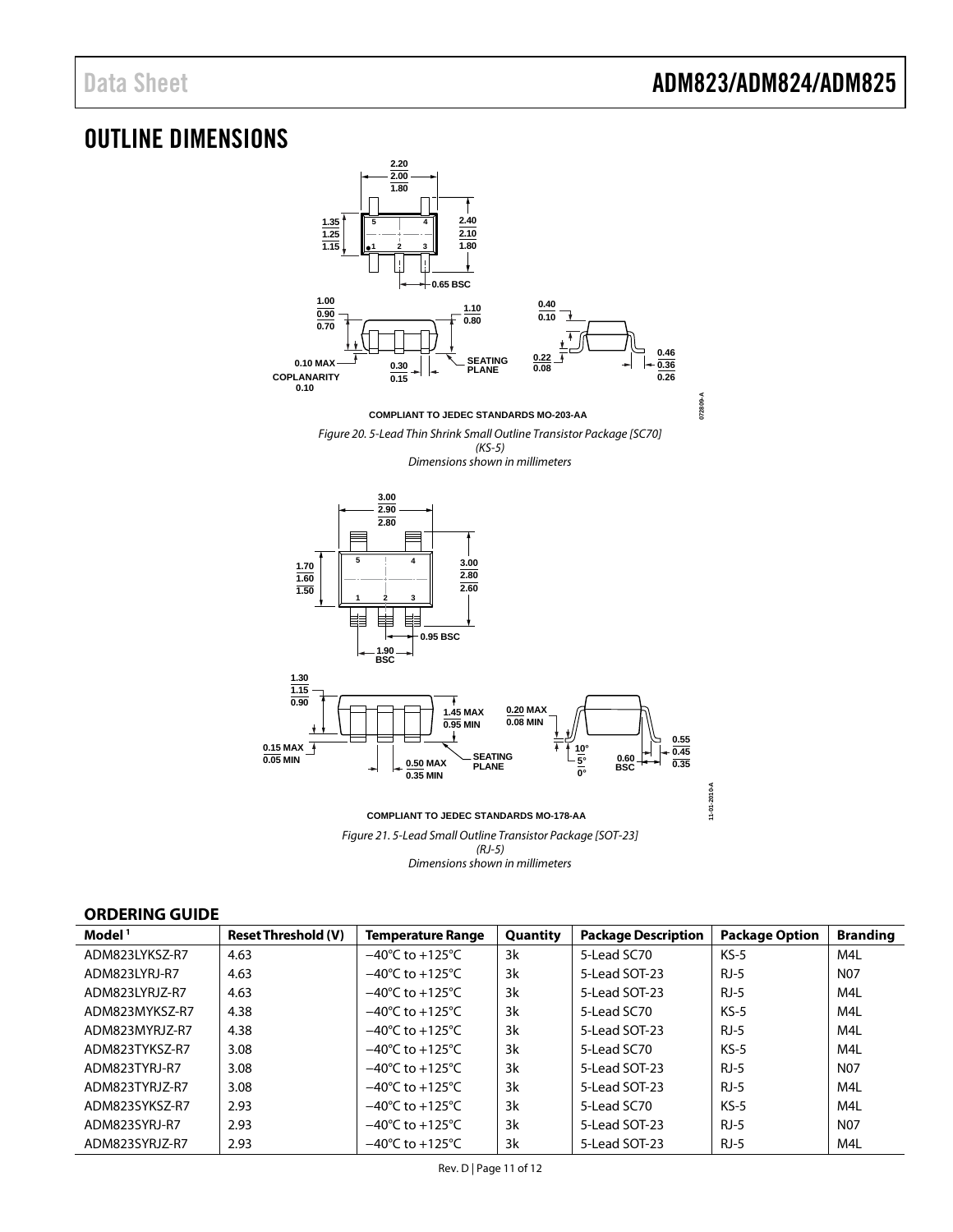### <span id="page-10-0"></span>OUTLINE DIMENSIONS



#### <span id="page-10-1"></span>**ORDERING GUIDE**

| Model <sup>1</sup> | <b>Reset Threshold (V)</b> | <b>Temperature Range</b>            | Quantity | <b>Package Description</b> | <b>Package Option</b> | <b>Branding</b> |
|--------------------|----------------------------|-------------------------------------|----------|----------------------------|-----------------------|-----------------|
| ADM823LYKSZ-R7     | 4.63                       | $-40^{\circ}$ C to $+125^{\circ}$ C | 3k       | 5-Lead SC70                | $KS-5$                | M4L             |
| ADM823LYRJ-R7      | 4.63                       | $-40^{\circ}$ C to $+125^{\circ}$ C | 3k       | 5-Lead SOT-23              | $RJ-5$                | N <sub>07</sub> |
| ADM823LYRJZ-R7     | 4.63                       | $-40^{\circ}$ C to $+125^{\circ}$ C | 3k       | 5-Lead SOT-23              | $RJ-5$                | M4L             |
| ADM823MYKSZ-R7     | 4.38                       | $-40^{\circ}$ C to $+125^{\circ}$ C | 3k       | 5-Lead SC70                | $KS-5$                | M4L             |
| ADM823MYRJ7-R7     | 4.38                       | $-40^{\circ}$ C to $+125^{\circ}$ C | 3k       | 5-Lead SOT-23              | $RJ-5$                | M4L             |
| ADM823TYKSZ-R7     | 3.08                       | $-40^{\circ}$ C to $+125^{\circ}$ C | 3k       | 5-Lead SC70                | $KS-5$                | M4L             |
| ADM823TYRI-R7      | 3.08                       | $-40^{\circ}$ C to $+125^{\circ}$ C | 3k       | 5-Lead SOT-23              | $RJ-5$                | N <sub>07</sub> |
| ADM823TYRJZ-R7     | 3.08                       | $-40^{\circ}$ C to $+125^{\circ}$ C | 3k       | 5-Lead SOT-23              | $RJ-5$                | M4L             |
| ADM823SYKSZ-R7     | 2.93                       | $-40^{\circ}$ C to $+125^{\circ}$ C | 3k       | 5-Lead SC70                | $KS-5$                | M4L             |
| ADM823SYRJ-R7      | 2.93                       | $-40^{\circ}$ C to $+125^{\circ}$ C | 3k       | 5-Lead SOT-23              | $RJ-5$                | N <sub>07</sub> |
| ADM823SYRJZ-R7     | 2.93                       | $-40^{\circ}$ C to $+125^{\circ}$ C | 3k       | 5-Lead SOT-23              | $RJ-5$                | M4L             |